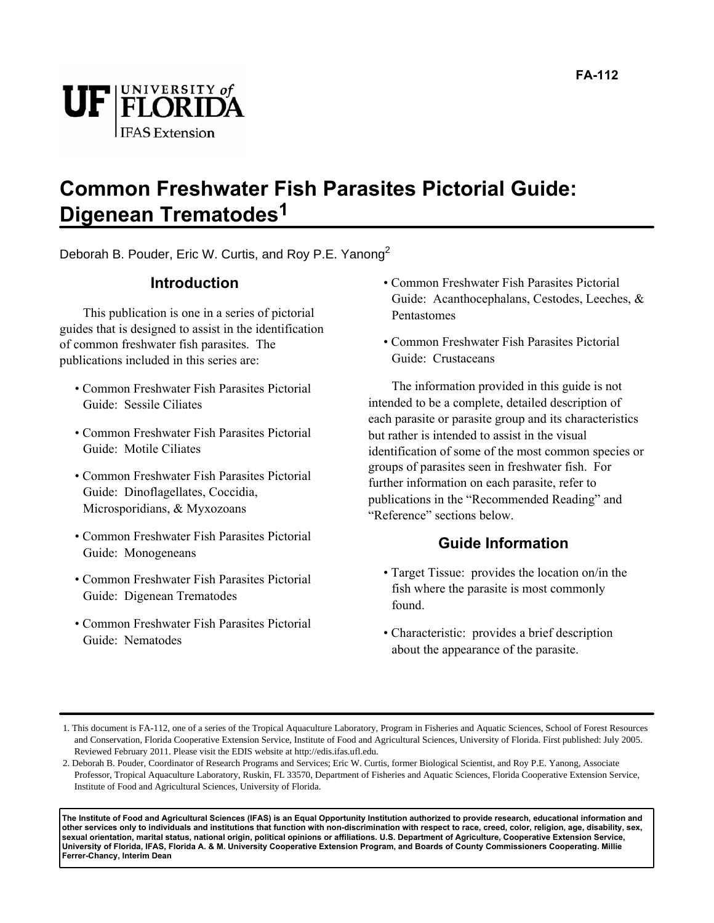

# **Common Freshwater Fish Parasites Pictorial Guide: Digenean Trematodes1**

Deborah B. Pouder, Eric W. Curtis, and Roy P.E. Yanong<sup>2</sup>

### **Introduction**

This publication is one in a series of pictorial guides that is designed to assist in the identification of common freshwater fish parasites. The publications included in this series are:

- Common Freshwater Fish Parasites Pictorial Guide: Sessile Ciliates
- Common Freshwater Fish Parasites Pictorial Guide: Motile Ciliates
- Common Freshwater Fish Parasites Pictorial Guide: Dinoflagellates, Coccidia, Microsporidians, & Myxozoans
- Common Freshwater Fish Parasites Pictorial Guide: Monogeneans
- Common Freshwater Fish Parasites Pictorial Guide: Digenean Trematodes
- Common Freshwater Fish Parasites Pictorial Guide: Nematodes
- Common Freshwater Fish Parasites Pictorial Guide: Acanthocephalans, Cestodes, Leeches, & Pentastomes
- Common Freshwater Fish Parasites Pictorial Guide: Crustaceans

The information provided in this guide is not intended to be a complete, detailed description of each parasite or parasite group and its characteristics but rather is intended to assist in the visual identification of some of the most common species or groups of parasites seen in freshwater fish. For further information on each parasite, refer to publications in the "Recommended Reading" and "Reference" sections below.

## **Guide Information**

- Target Tissue: provides the location on/in the fish where the parasite is most commonly found.
- Characteristic: provides a brief description about the appearance of the parasite.

**The Institute of Food and Agricultural Sciences (IFAS) is an Equal Opportunity Institution authorized to provide research, educational information and other services only to individuals and institutions that function with non-discrimination with respect to race, creed, color, religion, age, disability, sex, sexual orientation, marital status, national origin, political opinions or affiliations. U.S. Department of Agriculture, Cooperative Extension Service, University of Florida, IFAS, Florida A. & M. University Cooperative Extension Program, and Boards of County Commissioners Cooperating. Millie Ferrer-Chancy, Interim Dean**

<sup>1.</sup> This document is FA-112, one of a series of the Tropical Aquaculture Laboratory, Program in Fisheries and Aquatic Sciences, School of Forest Resources and Conservation, Florida Cooperative Extension Service, Institute of Food and Agricultural Sciences, University of Florida. First published: July 2005. Reviewed February 2011. Please visit the EDIS website at http://edis.ifas.ufl.edu.

<sup>2.</sup> Deborah B. Pouder, Coordinator of Research Programs and Services; Eric W. Curtis, former Biological Scientist, and Roy P.E. Yanong, Associate Professor, Tropical Aquaculture Laboratory, Ruskin, FL 33570, Department of Fisheries and Aquatic Sciences, Florida Cooperative Extension Service, Institute of Food and Agricultural Sciences, University of Florida.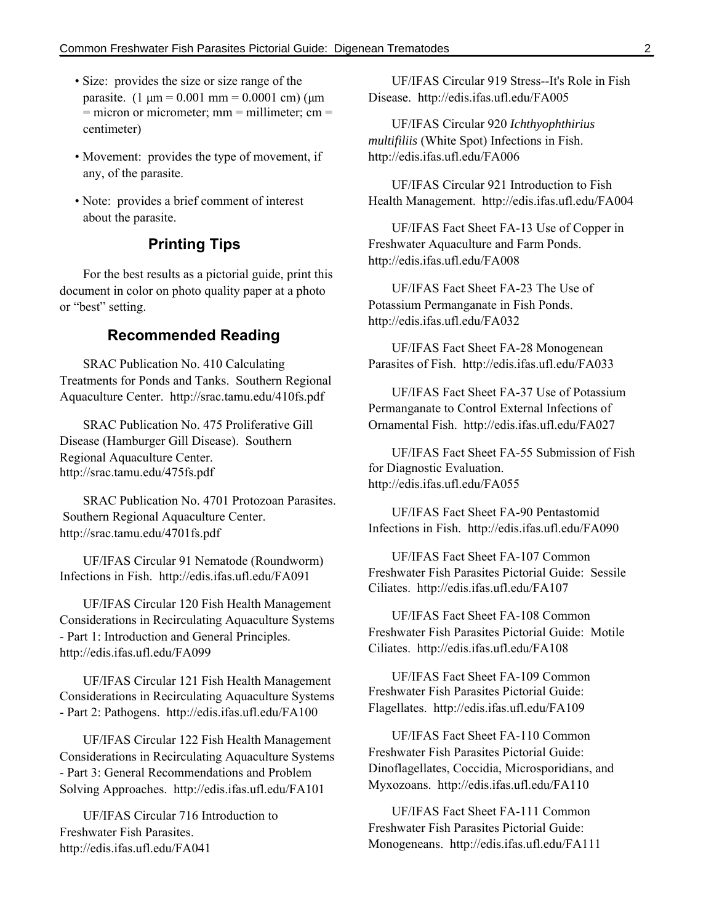- Size: provides the size or size range of the parasite.  $(1 \text{ µm} = 0.001 \text{ mm} = 0.0001 \text{ cm})$  ( $\text{µm}$ )  $=$  micron or micrometer; mm  $=$  millimeter; cm  $=$ centimeter)
- Movement: provides the type of movement, if any, of the parasite.
- Note: provides a brief comment of interest about the parasite.

### **Printing Tips**

For the best results as a pictorial guide, print this document in color on photo quality paper at a photo or "best" setting.

### **Recommended Reading**

SRAC Publication No. 410 Calculating Treatments for Ponds and Tanks. Southern Regional Aquaculture Center. http://srac.tamu.edu/410fs.pdf

SRAC Publication No. 475 Proliferative Gill Disease (Hamburger Gill Disease). Southern Regional Aquaculture Center. http://srac.tamu.edu/475fs.pdf

SRAC Publication No. 4701 Protozoan Parasites. Southern Regional Aquaculture Center. http://srac.tamu.edu/4701fs.pdf

UF/IFAS Circular 91 Nematode (Roundworm) Infections in Fish. http://edis.ifas.ufl.edu/FA091

UF/IFAS Circular 120 Fish Health Management Considerations in Recirculating Aquaculture Systems - Part 1: Introduction and General Principles. http://edis.ifas.ufl.edu/FA099

UF/IFAS Circular 121 Fish Health Management Considerations in Recirculating Aquaculture Systems - Part 2: Pathogens. http://edis.ifas.ufl.edu/FA100

UF/IFAS Circular 122 Fish Health Management Considerations in Recirculating Aquaculture Systems - Part 3: General Recommendations and Problem Solving Approaches. http://edis.ifas.ufl.edu/FA101

UF/IFAS Circular 716 Introduction to Freshwater Fish Parasites. http://edis.ifas.ufl.edu/FA041

UF/IFAS Circular 919 Stress--It's Role in Fish Disease. http://edis.ifas.ufl.edu/FA005

UF/IFAS Circular 920 *Ichthyophthirius multifiliis* (White Spot) Infections in Fish. http://edis.ifas.ufl.edu/FA006

UF/IFAS Circular 921 Introduction to Fish Health Management. http://edis.ifas.ufl.edu/FA004

UF/IFAS Fact Sheet FA-13 Use of Copper in Freshwater Aquaculture and Farm Ponds. http://edis.ifas.ufl.edu/FA008

UF/IFAS Fact Sheet FA-23 The Use of Potassium Permanganate in Fish Ponds. http://edis.ifas.ufl.edu/FA032

UF/IFAS Fact Sheet FA-28 Monogenean Parasites of Fish. http://edis.ifas.ufl.edu/FA033

UF/IFAS Fact Sheet FA-37 Use of Potassium Permanganate to Control External Infections of Ornamental Fish. http://edis.ifas.ufl.edu/FA027

UF/IFAS Fact Sheet FA-55 Submission of Fish for Diagnostic Evaluation. http://edis.ifas.ufl.edu/FA055

UF/IFAS Fact Sheet FA-90 Pentastomid Infections in Fish. http://edis.ifas.ufl.edu/FA090

UF/IFAS Fact Sheet FA-107 Common Freshwater Fish Parasites Pictorial Guide: Sessile Ciliates. http://edis.ifas.ufl.edu/FA107

UF/IFAS Fact Sheet FA-108 Common Freshwater Fish Parasites Pictorial Guide: Motile Ciliates. http://edis.ifas.ufl.edu/FA108

UF/IFAS Fact Sheet FA-109 Common Freshwater Fish Parasites Pictorial Guide: Flagellates. http://edis.ifas.ufl.edu/FA109

UF/IFAS Fact Sheet FA-110 Common Freshwater Fish Parasites Pictorial Guide: Dinoflagellates, Coccidia, Microsporidians, and Myxozoans. http://edis.ifas.ufl.edu/FA110

UF/IFAS Fact Sheet FA-111 Common Freshwater Fish Parasites Pictorial Guide: Monogeneans. http://edis.ifas.ufl.edu/FA111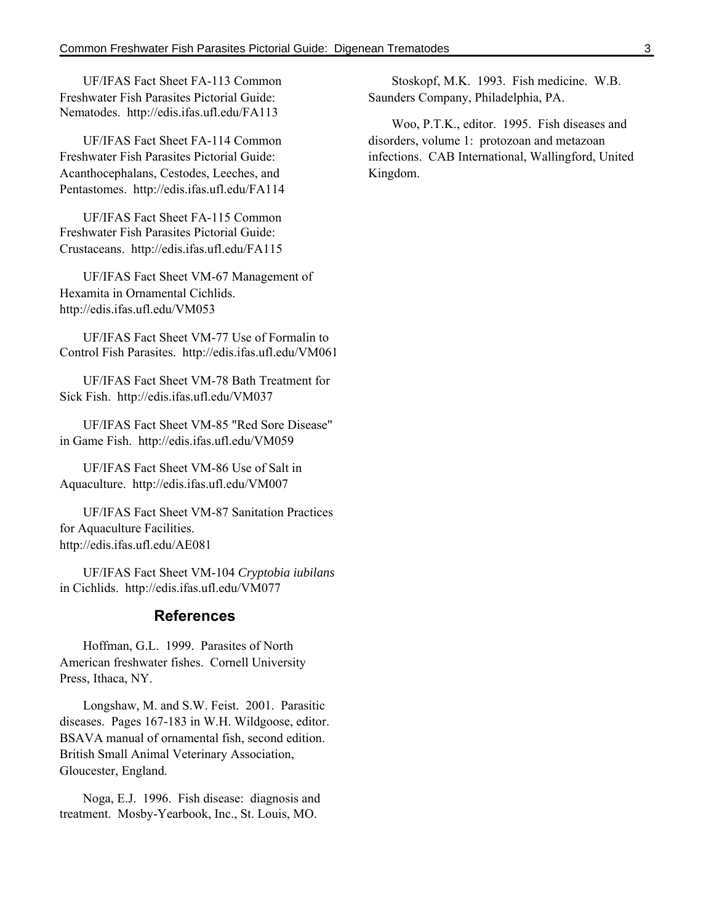UF/IFAS Fact Sheet FA-113 Common Freshwater Fish Parasites Pictorial Guide: Nematodes. http://edis.ifas.ufl.edu/FA113

UF/IFAS Fact Sheet FA-114 Common Freshwater Fish Parasites Pictorial Guide: Acanthocephalans, Cestodes, Leeches, and Pentastomes. http://edis.ifas.ufl.edu/FA114

UF/IFAS Fact Sheet FA-115 Common Freshwater Fish Parasites Pictorial Guide: Crustaceans. http://edis.ifas.ufl.edu/FA115

UF/IFAS Fact Sheet VM-67 Management of Hexamita in Ornamental Cichlids. http://edis.ifas.ufl.edu/VM053

UF/IFAS Fact Sheet VM-77 Use of Formalin to Control Fish Parasites. http://edis.ifas.ufl.edu/VM061

UF/IFAS Fact Sheet VM-78 Bath Treatment for Sick Fish. http://edis.ifas.ufl.edu/VM037

UF/IFAS Fact Sheet VM-85 "Red Sore Disease" in Game Fish. http://edis.ifas.ufl.edu/VM059

UF/IFAS Fact Sheet VM-86 Use of Salt in Aquaculture. http://edis.ifas.ufl.edu/VM007

UF/IFAS Fact Sheet VM-87 Sanitation Practices for Aquaculture Facilities. http://edis.ifas.ufl.edu/AE081

UF/IFAS Fact Sheet VM-104 *Cryptobia iubilans* in Cichlids. http://edis.ifas.ufl.edu/VM077

### **References**

Hoffman, G.L. 1999. Parasites of North American freshwater fishes. Cornell University Press, Ithaca, NY.

Longshaw, M. and S.W. Feist. 2001. Parasitic diseases. Pages 167-183 in W.H. Wildgoose, editor. BSAVA manual of ornamental fish, second edition. British Small Animal Veterinary Association, Gloucester, England.

Noga, E.J. 1996. Fish disease: diagnosis and treatment. Mosby-Yearbook, Inc., St. Louis, MO.

Stoskopf, M.K. 1993. Fish medicine. W.B. Saunders Company, Philadelphia, PA.

Woo, P.T.K., editor. 1995. Fish diseases and disorders, volume 1: protozoan and metazoan infections. CAB International, Wallingford, United Kingdom.